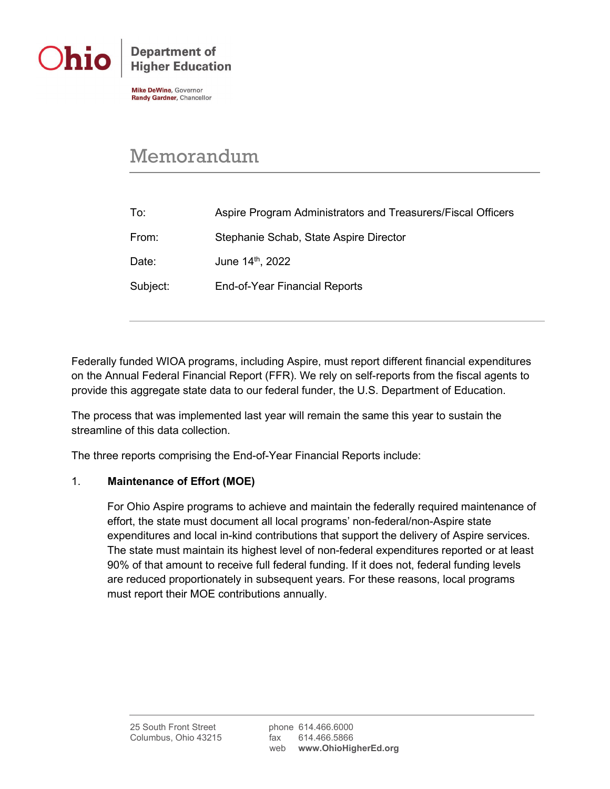

**Department of Higher Education** 

**Mike DeWine, Governor** Randy Gardner, Chancellor

## Memorandum

| To:      | Aspire Program Administrators and Treasurers/Fiscal Officers |
|----------|--------------------------------------------------------------|
| From:    | Stephanie Schab, State Aspire Director                       |
| Date:    | June 14 <sup>th</sup> , 2022                                 |
| Subject: | End-of-Year Financial Reports                                |
|          |                                                              |

Federally funded WIOA programs, including Aspire, must report different financial expenditures on the Annual Federal Financial Report (FFR). We rely on self-reports from the fiscal agents to provide this aggregate state data to our federal funder, the U.S. Department of Education.

The process that was implemented last year will remain the same this year to sustain the streamline of this data collection.

The three reports comprising the End-of-Year Financial Reports include:

## 1. **Maintenance of Effort (MOE)**

For Ohio Aspire programs to achieve and maintain the federally required maintenance of effort, the state must document all local programs' non-federal/non-Aspire state expenditures and local in-kind contributions that support the delivery of Aspire services. The state must maintain its highest level of non-federal expenditures reported or at least 90% of that amount to receive full federal funding. If it does not, federal funding levels are reduced proportionately in subsequent years*.* For these reasons, local programs must report their MOE contributions annually.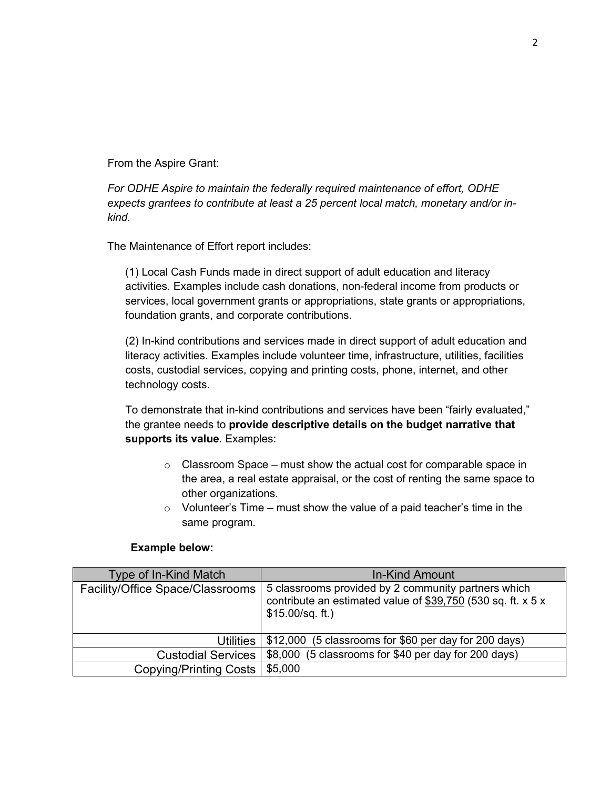From the Aspire Grant:

*For ODHE Aspire to maintain the federally required maintenance of effort, ODHE expects grantees to contribute at least a 25 percent local match, monetary and/or inkind.*

The Maintenance of Effort report includes:

(1) Local Cash Funds made in direct support of adult education and literacy activities. Examples include cash donations, non-federal income from products or services, local government grants or appropriations, state grants or appropriations, foundation grants, and corporate contributions.

(2) In-kind contributions and services made in direct support of adult education and literacy activities. Examples include volunteer time, infrastructure, utilities, facilities costs, custodial services, copying and printing costs, phone, internet, and other technology costs.

To demonstrate that in-kind contributions and services have been "fairly evaluated," the grantee needs to **provide descriptive details on the budget narrative that supports its value**. Examples:

- $\circ$  Classroom Space must show the actual cost for comparable space in the area, a real estate appraisal, or the cost of renting the same space to other organizations.
- $\circ$  Volunteer's Time must show the value of a paid teacher's time in the same program.

## **Example below:**

| Type of In-Kind Match            | In-Kind Amount                                                                                                                           |
|----------------------------------|------------------------------------------------------------------------------------------------------------------------------------------|
| Facility/Office Space/Classrooms | 5 classrooms provided by 2 community partners which<br>contribute an estimated value of \$39,750 (530 sq. ft. x 5 x<br>$$15.00/sq.$ ft.) |
| <b>Utilities</b>                 | \$12,000 (5 classrooms for \$60 per day for 200 days)                                                                                    |
| <b>Custodial Services</b>        | \$8,000 (5 classrooms for \$40 per day for 200 days)                                                                                     |
| <b>Copying/Printing Costs</b>    | \$5,000                                                                                                                                  |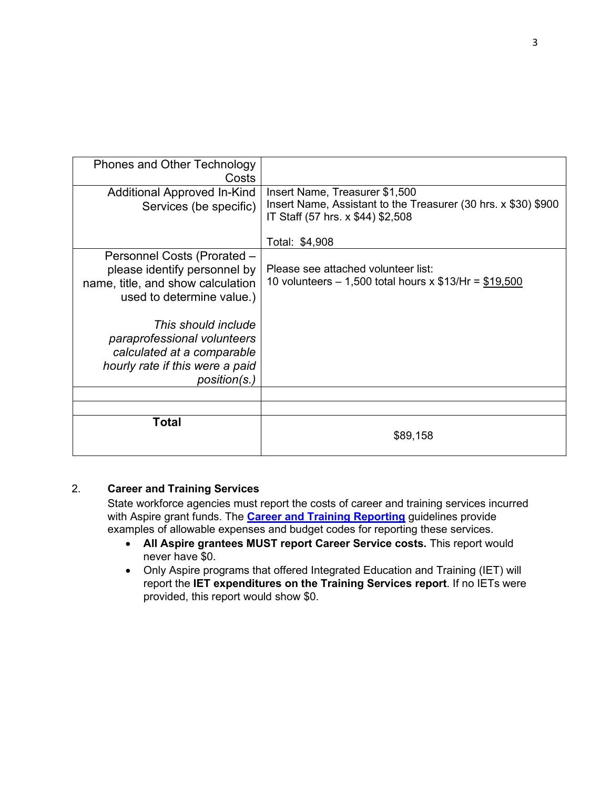| position(s.)                                                                                                                  |                                                                                                                       |
|-------------------------------------------------------------------------------------------------------------------------------|-----------------------------------------------------------------------------------------------------------------------|
| This should include<br>paraprofessional volunteers<br>calculated at a comparable<br>hourly rate if this were a paid           |                                                                                                                       |
| Personnel Costs (Prorated -<br>please identify personnel by<br>name, title, and show calculation<br>used to determine value.) | Please see attached volunteer list:<br>10 volunteers $- 1,500$ total hours x \$13/Hr = \$19,500                       |
| Services (be specific)                                                                                                        | Insert Name, Assistant to the Treasurer (30 hrs. x \$30) \$900<br>IT Staff (57 hrs. x \$44) \$2,508<br>Total: \$4,908 |
| Additional Approved In-Kind                                                                                                   | Insert Name, Treasurer \$1,500                                                                                        |
| <b>Phones and Other Technology</b><br>Costs                                                                                   |                                                                                                                       |

## 2. **Career and Training Services**

State workforce agencies must report the costs of career and training services incurred with Aspire grant funds. The **[Career and Training Reporting](https://www.ohiohighered.org/sites/default/files/uploads/able/reference/Career%20and%20Training%20Services%20Reporting.pdf)** guidelines provide examples of allowable expenses and budget codes for reporting these services.

- **All Aspire grantees MUST report Career Service costs.** This report would never have \$0.
- Only Aspire programs that offered Integrated Education and Training (IET) will report the **IET expenditures on the Training Services report**. If no IETs were provided, this report would show \$0.